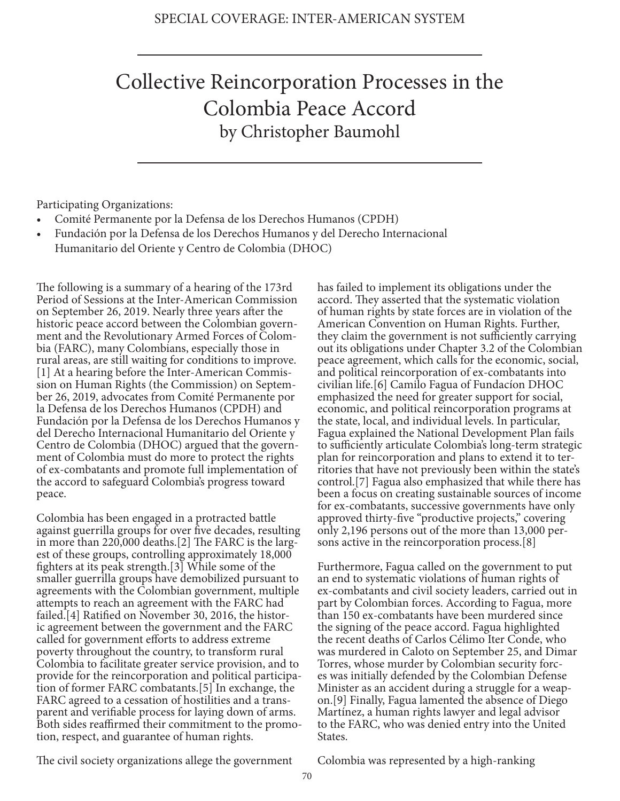## Collective Reincorporation Processes in the Colombia Peace Accord by Christopher Baumohl

Participating Organizations:

- Comité Permanente por la Defensa de los Derechos Humanos (CPDH)
- Fundación por la Defensa de los Derechos Humanos y del Derecho Internacional Humanitario del Oriente y Centro de Colombia (DHOC)

The following is a summary of a hearing of the 173rd Period of Sessions at the Inter-American Commission on September 26, 2019. Nearly three years after the historic peace accord between the Colombian government and the Revolutionary Armed Forces of Colombia (FARC), many Colombians, especially those in rural areas, are still waiting for conditions to improve. [1] At a hearing before the Inter-American Commission on Human Rights (the Commission) on September 26, 2019, advocates from Comité Permanente por la Defensa de los Derechos Humanos (CPDH) and Fundación por la Defensa de los Derechos Humanos y del Derecho Internacional Humanitario del Oriente y Centro de Colombia (DHOC) argued that the government of Colombia must do more to protect the rights of ex-combatants and promote full implementation of the accord to safeguard Colombia's progress toward peace.

Colombia has been engaged in a protracted battle against guerrilla groups for over five decades, resulting in more than 220,000 deaths.[2] The FARC is the largest of these groups, controlling approximately 18,000 fighters at its peak strength.[3] While some of the smaller guerrilla groups have demobilized pursuant to agreements with the Colombian government, multiple attempts to reach an agreement with the FARC had failed.[4] Ratified on November 30, 2016, the historic agreement between the government and the FARC called for government efforts to address extreme poverty throughout the country, to transform rural Colombia to facilitate greater service provision, and to provide for the reincorporation and political participation of former FARC combatants.[5] In exchange, the FARC agreed to a cessation of hostilities and a transparent and verifiable process for laying down of arms. Both sides reaffirmed their commitment to the promotion, respect, and guarantee of human rights.

has failed to implement its obligations under the accord. They asserted that the systematic violation of human rights by state forces are in violation of the American Convention on Human Rights. Further, they claim the government is not sufficiently carrying out its obligations under Chapter 3.2 of the Colombian peace agreement, which calls for the economic, social, and political reincorporation of ex-combatants into civilian life.[6] Camilo Fagua of Fundacíon DHOC emphasized the need for greater support for social, economic, and political reincorporation programs at the state, local, and individual levels. In particular, Fagua explained the National Development Plan fails to sufficiently articulate Colombia's long-term strategic plan for reincorporation and plans to extend it to territories that have not previously been within the state's control.[7] Fagua also emphasized that while there has been a focus on creating sustainable sources of income for ex-combatants, successive governments have only approved thirty-five "productive projects," covering only 2,196 persons out of the more than 13,000 persons active in the reincorporation process.[8]

Furthermore, Fagua called on the government to put an end to systematic violations of human rights of ex-combatants and civil society leaders, carried out in part by Colombian forces. According to Fagua, more than 150 ex-combatants have been murdered since the signing of the peace accord. Fagua highlighted the recent deaths of Carlos Célimo Iter Conde, who was murdered in Caloto on September 25, and Dimar Torres, whose murder by Colombian security forces was initially defended by the Colombian Defense Minister as an accident during a struggle for a weapon.[9] Finally, Fagua lamented the absence of Diego Martínez, a human rights lawyer and legal advisor to the FARC, who was denied entry into the United States.

The civil society organizations allege the government

Colombia was represented by a high-ranking